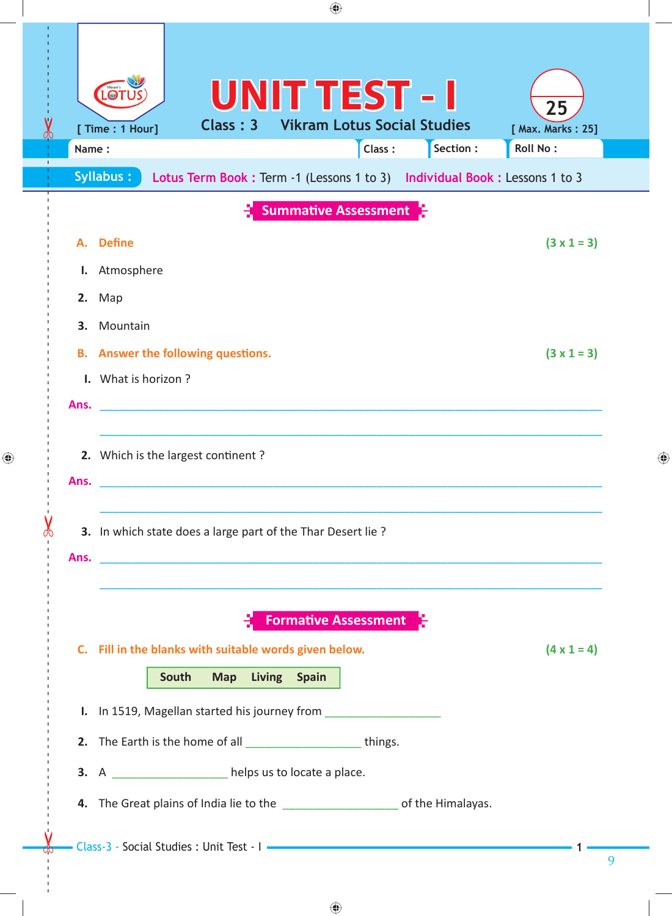| ◈                                                                                                                                                                                    |   |
|--------------------------------------------------------------------------------------------------------------------------------------------------------------------------------------|---|
| <b>UNIT TEST - I</b><br>Vikram's<br>25<br><b>Vikram Lotus Social Studies</b><br>Class: 3<br>[ Time : 1 Hour]<br>[ Max. Marks: 25]<br>Section :<br><b>Roll No:</b><br>Class:<br>Name: |   |
| <b>Syllabus:</b><br>Lotus Term Book : Term -1 (Lessons 1 to 3) Individual Book : Lessons 1 to 3                                                                                      |   |
| <b>Summative Assessment</b><br><b>Define</b><br>$(3 \times 1 = 3)$<br>А.<br>I. Atmosphere<br>Map<br>2.<br>3.<br>Mountain                                                             |   |
| $(3 \times 1 = 3)$<br><b>B.</b> Answer the following questions.<br>I. What is horizon?<br>Ans.                                                                                       |   |
| 2. Which is the largest continent?<br>Ans.                                                                                                                                           | ◈ |
| 3. In which state does a large part of the Thar Desert lie ?<br>Ans.<br>,我们就会在这里,我们的人们就会在这里,我们就会在这里,我们就会在这里,我们就会在这里,我们就会在这里,我们就会在这里,我们就会在这里,我们就会在这里,我们就会                             |   |
| <b>Formative Assessment</b><br>C. Fill in the blanks with suitable words given below.<br>$(4 \times 1 = 4)$<br>Living Spain<br>South<br><b>Map</b>                                   |   |
| I. In 1519, Magellan started his journey from<br>2. The Earth is the home of all _______________________things.<br>3. A _______________ helps us to locate a place.                  |   |
| 4. The Great plains of India lie to the ______________________ of the Himalayas.<br>Class-3 - Social Studies : Unit Test - I                                                         |   |
|                                                                                                                                                                                      | 9 |

 $\bigoplus$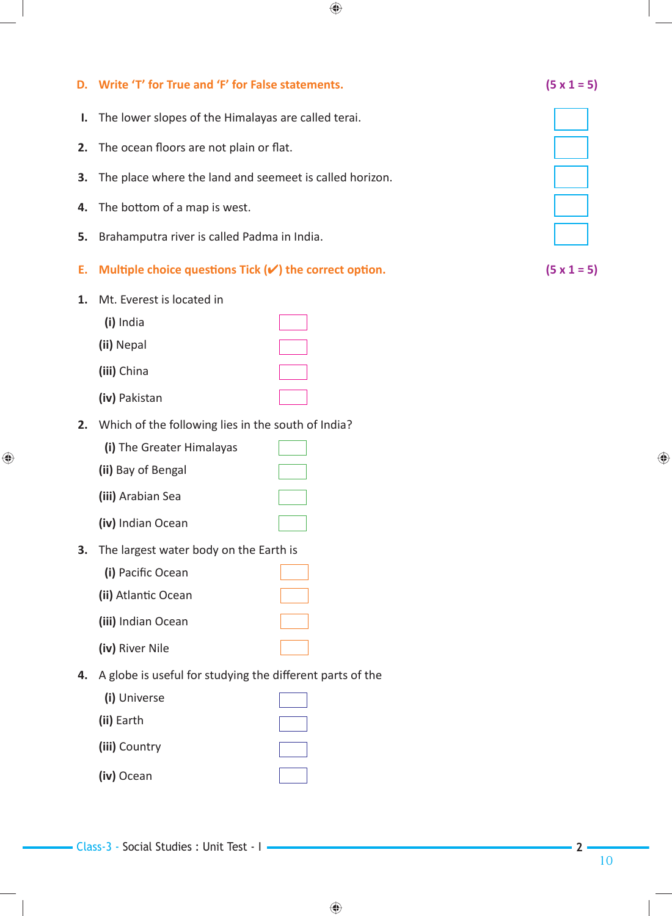|    | D. Write 'T' for True and 'F' for False statements.               |  | $(5 \times 1 = 5)$ |  |
|----|-------------------------------------------------------------------|--|--------------------|--|
| ı. | The lower slopes of the Himalayas are called terai.               |  |                    |  |
| 2. | The ocean floors are not plain or flat.                           |  |                    |  |
| 3. | The place where the land and seemeet is called horizon.           |  |                    |  |
| 4. | The bottom of a map is west.                                      |  |                    |  |
| 5. | Brahamputra river is called Padma in India.                       |  |                    |  |
| Ε. | Multiple choice questions Tick $(\checkmark)$ the correct option. |  | $(5 \times 1 = 5)$ |  |
| 1. | Mt. Everest is located in<br>(i) India<br>(ii) Nepal              |  |                    |  |
|    | (iii) China                                                       |  |                    |  |
|    | (iv) Pakistan                                                     |  |                    |  |
| 2. | Which of the following lies in the south of India?                |  |                    |  |
|    | (i) The Greater Himalayas                                         |  |                    |  |
|    | (ii) Bay of Bengal                                                |  |                    |  |
|    | (iii) Arabian Sea                                                 |  |                    |  |
|    | (iv) Indian Ocean                                                 |  |                    |  |
| 3. | The largest water body on the Earth is                            |  |                    |  |
|    | (i) Pacific Ocean                                                 |  |                    |  |
|    | (ii) Atlantic Ocean                                               |  |                    |  |
|    | (iii) Indian Ocean                                                |  |                    |  |
|    | (iv) River Nile                                                   |  |                    |  |
| 4. | A globe is useful for studying the different parts of the         |  |                    |  |
|    | (i) Universe                                                      |  |                    |  |
|    | (ii) Earth                                                        |  |                    |  |
|    | (iii) Country                                                     |  |                    |  |
|    | (iv) Ocean                                                        |  |                    |  |
|    |                                                                   |  |                    |  |

Class-3 - Social Studies : Unit Test - I **2**

 $\bigoplus$ 

10

 $\bigoplus$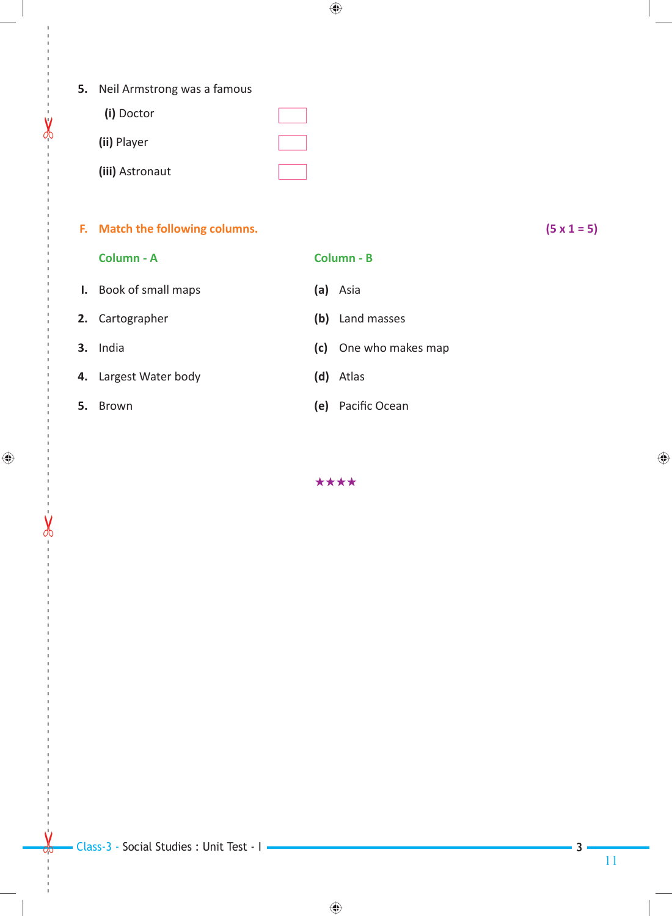**5.** Neil Armstrong was a famous

| (i) Doctor      |  |
|-----------------|--|
| (ii) Player     |  |
| (iii) Astronaut |  |

## **F. Match the following columns. (5 x 1 = 5)**

 **Column - A Column - B**

 **I.** Book of small maps **(a)** Asia

 **2.** Cartographer **(b)** Land masses

- 
- **4.** Largest Water body **(d)** Atlas
- **5.** Brown

 $\leftarrow$ 

 $\bigoplus$ 

 **3.** India **(c)** One who makes map

(e) Pacific Ocean

\*\*\*\*

◈

**3**